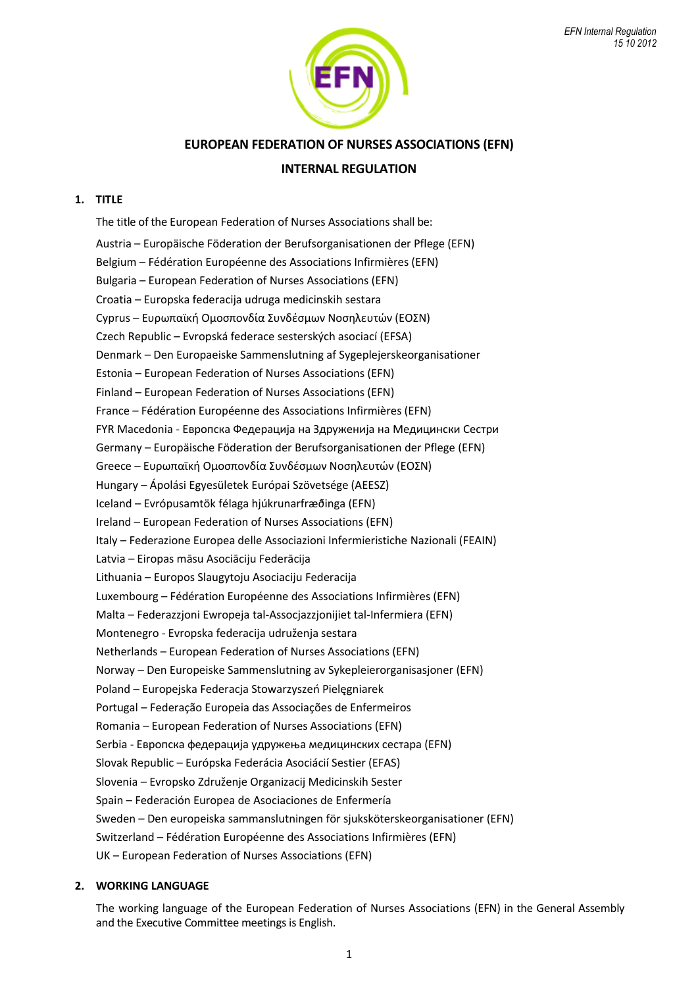

# **EUROPEAN FEDERATION OF NURSES ASSOCIATIONS (EFN)**

# **INTERNAL REGULATION**

# **1. TITLE**

The title of the European Federation of Nurses Associations shall be: Austria – Europäische Föderation der Berufsorganisationen der Pflege (EFN) Belgium – Fédération Européenne des Associations Infirmières (EFN) Bulgaria – European Federation of Nurses Associations (EFN) Croatia – Europska federacija udruga medicinskih sestara Cyprus – Ευρωπαϊκή Ομοσπονδία Συνδέσμων Νοσηλευτών (ΕΟΣΝ) Czech Republic – Evropská federace sesterských asociací (EFSA) Denmark – Den Europaeiske Sammenslutning af Sygeplejerskeorganisationer Estonia – European Federation of Nurses Associations (EFN) Finland – European Federation of Nurses Associations (EFN) France – Fédération Européenne des Associations Infirmières (EFN) FYR Macedonia - Европска Федерација на Здруженија на Медицински Сестри Germany – Europäische Föderation der Berufsorganisationen der Pflege (EFN) Greece – Ευρωπαϊκή Ομοσπονδία Συνδέσμων Νοσηλευτών (ΕΟΣΝ) Hungary – Ápolási Egyesületek Európai Szövetsége (AEESZ) Iceland – Evrópusamtök félaga hjúkrunarfræðinga (EFN) Ireland – European Federation of Nurses Associations (EFN) Italy – Federazione Europea delle Associazioni Infermieristiche Nazionali (FEAIN) Latvia – Eiropas māsu Asociāciju Federācija Lithuania – Europos Slaugytoju Asociaciju Federacija Luxembourg – Fédération Européenne des Associations Infirmières (EFN) Malta – Federazzjoni Ewropeja tal-Assocjazzjonijiet tal-Infermiera (EFN) Montenegro - Evropska federacija udruženja sestara Netherlands – European Federation of Nurses Associations (EFN) Norway – Den Europeiske Sammenslutning av Sykepleierorganisasjoner (EFN) Poland – Europejska Federacja Stowarzyszeń Pielęgniarek Portugal – Federação Europeia das Associações de Enfermeiros Romania – European Federation of Nurses Associations (EFN) Serbia - Европска федерација удружења медицинских сестара (EFN) Slovak Republic – Európska Federácia Asociácií Sestier (EFAS) Slovenia – Evropsko Združenje Organizacij Medicinskih Sester Spain – Federación Europea de Asociaciones de Enfermería Sweden – Den europeiska sammanslutningen för sjuksköterskeorganisationer (EFN) Switzerland – Fédération Européenne des Associations Infirmières (EFN) UK – European Federation of Nurses Associations (EFN)

## **2. WORKING LANGUAGE**

The working language of the European Federation of Nurses Associations (EFN) in the General Assembly and the Executive Committee meetings is English.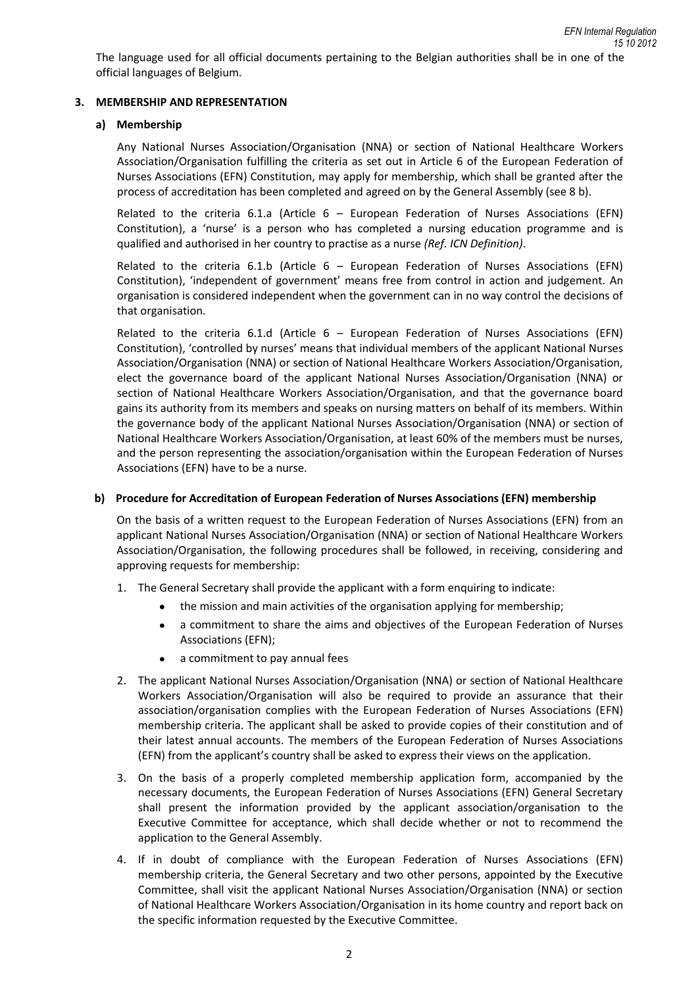## **3. MEMBERSHIP AND REPRESENTATION**

### **a) Membership**

Any National Nurses Association/Organisation (NNA) or section of National Healthcare Workers Association/Organisation fulfilling the criteria as set out in Article 6 of the European Federation of Nurses Associations (EFN) Constitution, may apply for membership, which shall be granted after the process of accreditation has been completed and agreed on by the General Assembly (see 8 b).

Related to the criteria 6.1.a (Article  $6 -$  European Federation of Nurses Associations (EFN) Constitution), a 'nurse' is a person who has completed a nursing education programme and is qualified and authorised in her country to practise as a nurse *(Ref. ICN Definition)*.

Related to the criteria 6.1.b (Article  $6 -$  European Federation of Nurses Associations (EFN) Constitution), 'independent of government' means free from control in action and judgement. An organisation is considered independent when the government can in no way control the decisions of that organisation.

Related to the criteria 6.1.d (Article  $6$  – European Federation of Nurses Associations (EFN) Constitution), 'controlled by nurses' means that individual members of the applicant National Nurses Association/Organisation (NNA) or section of National Healthcare Workers Association/Organisation, elect the governance board of the applicant National Nurses Association/Organisation (NNA) or section of National Healthcare Workers Association/Organisation, and that the governance board gains its authority from its members and speaks on nursing matters on behalf of its members. Within the governance body of the applicant National Nurses Association/Organisation (NNA) or section of National Healthcare Workers Association/Organisation, at least 60% of the members must be nurses, and the person representing the association/organisation within the European Federation of Nurses Associations (EFN) have to be a nurse.

### **b) Procedure for Accreditation of European Federation of Nurses Associations (EFN) membership**

On the basis of a written request to the European Federation of Nurses Associations (EFN) from an applicant National Nurses Association/Organisation (NNA) or section of National Healthcare Workers Association/Organisation, the following procedures shall be followed, in receiving, considering and approving requests for membership:

- 1. The General Secretary shall provide the applicant with a form enquiring to indicate:
	- the mission and main activities of the organisation applying for membership;
	- a commitment to share the aims and objectives of the European Federation of Nurses  $\bullet$ Associations (EFN);
	- a commitment to pay annual fees  $\bullet$
- 2. The applicant National Nurses Association/Organisation (NNA) or section of National Healthcare Workers Association/Organisation will also be required to provide an assurance that their association/organisation complies with the European Federation of Nurses Associations (EFN) membership criteria. The applicant shall be asked to provide copies of their constitution and of their latest annual accounts. The members of the European Federation of Nurses Associations (EFN) from the applicant's country shall be asked to express their views on the application.
- 3. On the basis of a properly completed membership application form, accompanied by the necessary documents, the European Federation of Nurses Associations (EFN) General Secretary shall present the information provided by the applicant association/organisation to the Executive Committee for acceptance, which shall decide whether or not to recommend the application to the General Assembly.
- 4. If in doubt of compliance with the European Federation of Nurses Associations (EFN) membership criteria, the General Secretary and two other persons, appointed by the Executive Committee, shall visit the applicant National Nurses Association/Organisation (NNA) or section of National Healthcare Workers Association/Organisation in its home country and report back on the specific information requested by the Executive Committee.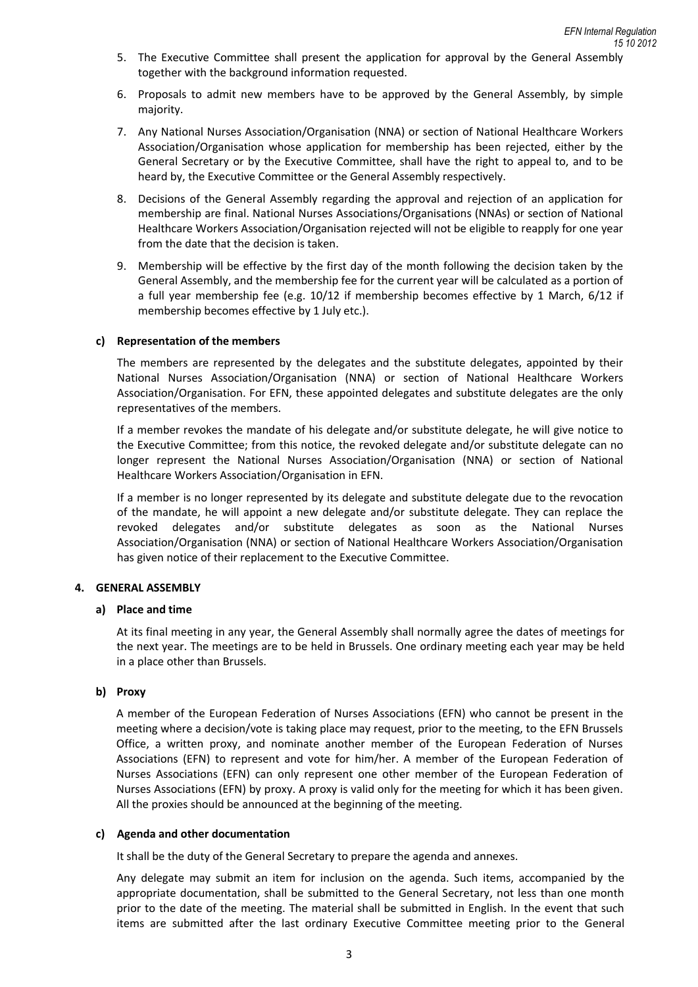- 5. The Executive Committee shall present the application for approval by the General Assembly together with the background information requested.
- 6. Proposals to admit new members have to be approved by the General Assembly, by simple majority.
- 7. Any National Nurses Association/Organisation (NNA) or section of National Healthcare Workers Association/Organisation whose application for membership has been rejected, either by the General Secretary or by the Executive Committee, shall have the right to appeal to, and to be heard by, the Executive Committee or the General Assembly respectively.
- 8. Decisions of the General Assembly regarding the approval and rejection of an application for membership are final. National Nurses Associations/Organisations (NNAs) or section of National Healthcare Workers Association/Organisation rejected will not be eligible to reapply for one year from the date that the decision is taken.
- 9. Membership will be effective by the first day of the month following the decision taken by the General Assembly, and the membership fee for the current year will be calculated as a portion of a full year membership fee (e.g. 10/12 if membership becomes effective by 1 March, 6/12 if membership becomes effective by 1 July etc.).

### **c) Representation of the members**

The members are represented by the delegates and the substitute delegates, appointed by their National Nurses Association/Organisation (NNA) or section of National Healthcare Workers Association/Organisation. For EFN, these appointed delegates and substitute delegates are the only representatives of the members.

If a member revokes the mandate of his delegate and/or substitute delegate, he will give notice to the Executive Committee; from this notice, the revoked delegate and/or substitute delegate can no longer represent the National Nurses Association/Organisation (NNA) or section of National Healthcare Workers Association/Organisation in EFN.

If a member is no longer represented by its delegate and substitute delegate due to the revocation of the mandate, he will appoint a new delegate and/or substitute delegate. They can replace the revoked delegates and/or substitute delegates as soon as the National Nurses Association/Organisation (NNA) or section of National Healthcare Workers Association/Organisation has given notice of their replacement to the Executive Committee.

### **4. GENERAL ASSEMBLY**

### **a) Place and time**

At its final meeting in any year, the General Assembly shall normally agree the dates of meetings for the next year. The meetings are to be held in Brussels. One ordinary meeting each year may be held in a place other than Brussels.

### **b) Proxy**

A member of the European Federation of Nurses Associations (EFN) who cannot be present in the meeting where a decision/vote is taking place may request, prior to the meeting, to the EFN Brussels Office, a written proxy, and nominate another member of the European Federation of Nurses Associations (EFN) to represent and vote for him/her. A member of the European Federation of Nurses Associations (EFN) can only represent one other member of the European Federation of Nurses Associations (EFN) by proxy. A proxy is valid only for the meeting for which it has been given. All the proxies should be announced at the beginning of the meeting.

### **c) Agenda and other documentation**

It shall be the duty of the General Secretary to prepare the agenda and annexes.

Any delegate may submit an item for inclusion on the agenda. Such items, accompanied by the appropriate documentation, shall be submitted to the General Secretary, not less than one month prior to the date of the meeting. The material shall be submitted in English. In the event that such items are submitted after the last ordinary Executive Committee meeting prior to the General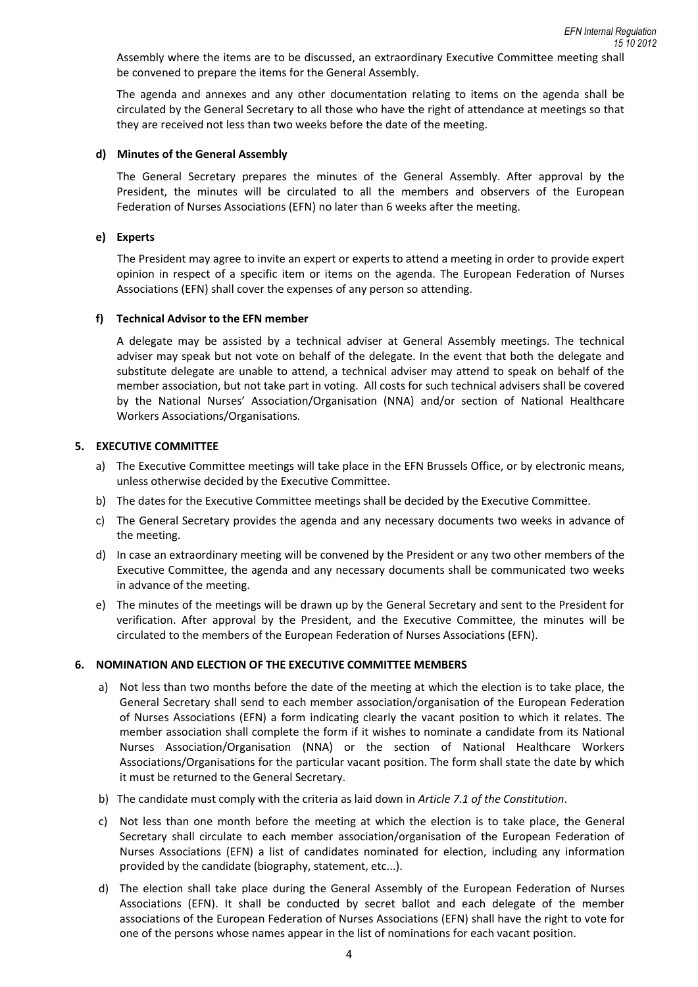Assembly where the items are to be discussed, an extraordinary Executive Committee meeting shall be convened to prepare the items for the General Assembly.

The agenda and annexes and any other documentation relating to items on the agenda shall be circulated by the General Secretary to all those who have the right of attendance at meetings so that they are received not less than two weeks before the date of the meeting.

#### **d) Minutes of the General Assembly**

The General Secretary prepares the minutes of the General Assembly. After approval by the President, the minutes will be circulated to all the members and observers of the European Federation of Nurses Associations (EFN) no later than 6 weeks after the meeting.

#### **e) Experts**

The President may agree to invite an expert or experts to attend a meeting in order to provide expert opinion in respect of a specific item or items on the agenda. The European Federation of Nurses Associations (EFN) shall cover the expenses of any person so attending.

#### **f) Technical Advisor to the EFN member**

A delegate may be assisted by a technical adviser at General Assembly meetings. The technical adviser may speak but not vote on behalf of the delegate. In the event that both the delegate and substitute delegate are unable to attend, a technical adviser may attend to speak on behalf of the member association, but not take part in voting. All costs for such technical advisers shall be covered by the National Nurses' Association/Organisation (NNA) and/or section of National Healthcare Workers Associations/Organisations.

#### **5. EXECUTIVE COMMITTEE**

- a) The Executive Committee meetings will take place in the EFN Brussels Office, or by electronic means, unless otherwise decided by the Executive Committee.
- b) The dates for the Executive Committee meetings shall be decided by the Executive Committee.
- c) The General Secretary provides the agenda and any necessary documents two weeks in advance of the meeting.
- d) In case an extraordinary meeting will be convened by the President or any two other members of the Executive Committee, the agenda and any necessary documents shall be communicated two weeks in advance of the meeting.
- e) The minutes of the meetings will be drawn up by the General Secretary and sent to the President for verification. After approval by the President, and the Executive Committee, the minutes will be circulated to the members of the European Federation of Nurses Associations (EFN).

#### **6. NOMINATION AND ELECTION OF THE EXECUTIVE COMMITTEE MEMBERS**

- a) Not less than two months before the date of the meeting at which the election is to take place, the General Secretary shall send to each member association/organisation of the European Federation of Nurses Associations (EFN) a form indicating clearly the vacant position to which it relates. The member association shall complete the form if it wishes to nominate a candidate from its National Nurses Association/Organisation (NNA) or the section of National Healthcare Workers Associations/Organisations for the particular vacant position. The form shall state the date by which it must be returned to the General Secretary.
- b) The candidate must comply with the criteria as laid down in *Article 7.1 of the Constitution*.
- c) Not less than one month before the meeting at which the election is to take place, the General Secretary shall circulate to each member association/organisation of the European Federation of Nurses Associations (EFN) a list of candidates nominated for election, including any information provided by the candidate (biography, statement, etc...).
- d) The election shall take place during the General Assembly of the European Federation of Nurses Associations (EFN). It shall be conducted by secret ballot and each delegate of the member associations of the European Federation of Nurses Associations (EFN) shall have the right to vote for one of the persons whose names appear in the list of nominations for each vacant position.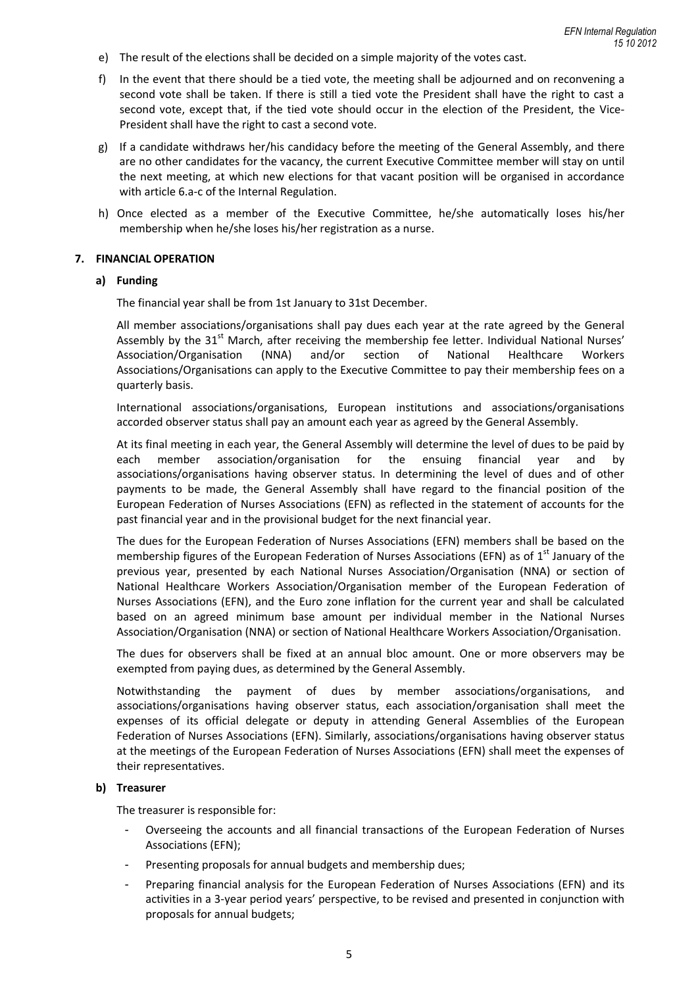- e) The result of the elections shall be decided on a simple majority of the votes cast.
- f) In the event that there should be a tied vote, the meeting shall be adjourned and on reconvening a second vote shall be taken. If there is still a tied vote the President shall have the right to cast a second vote, except that, if the tied vote should occur in the election of the President, the Vice-President shall have the right to cast a second vote.
- g) If a candidate withdraws her/his candidacy before the meeting of the General Assembly, and there are no other candidates for the vacancy, the current Executive Committee member will stay on until the next meeting, at which new elections for that vacant position will be organised in accordance with article 6.a-c of the Internal Regulation.
- h) Once elected as a member of the Executive Committee, he/she automatically loses his/her membership when he/she loses his/her registration as a nurse.

#### **7. FINANCIAL OPERATION**

#### **a) Funding**

The financial year shall be from 1st January to 31st December.

All member associations/organisations shall pay dues each year at the rate agreed by the General Assembly by the  $31<sup>st</sup>$  March, after receiving the membership fee letter. Individual National Nurses' Association/Organisation (NNA) and/or section of National Healthcare Workers Associations/Organisations can apply to the Executive Committee to pay their membership fees on a quarterly basis.

International associations/organisations, European institutions and associations/organisations accorded observer status shall pay an amount each year as agreed by the General Assembly.

At its final meeting in each year, the General Assembly will determine the level of dues to be paid by each member association/organisation for the ensuing financial year and by associations/organisations having observer status. In determining the level of dues and of other payments to be made, the General Assembly shall have regard to the financial position of the European Federation of Nurses Associations (EFN) as reflected in the statement of accounts for the past financial year and in the provisional budget for the next financial year.

The dues for the European Federation of Nurses Associations (EFN) members shall be based on the membership figures of the European Federation of Nurses Associations (EFN) as of  $1<sup>st</sup>$  January of the previous year, presented by each National Nurses Association/Organisation (NNA) or section of National Healthcare Workers Association/Organisation member of the European Federation of Nurses Associations (EFN), and the Euro zone inflation for the current year and shall be calculated based on an agreed minimum base amount per individual member in the National Nurses Association/Organisation (NNA) or section of National Healthcare Workers Association/Organisation.

The dues for observers shall be fixed at an annual bloc amount. One or more observers may be exempted from paying dues, as determined by the General Assembly.

Notwithstanding the payment of dues by member associations/organisations, and associations/organisations having observer status, each association/organisation shall meet the expenses of its official delegate or deputy in attending General Assemblies of the European Federation of Nurses Associations (EFN). Similarly, associations/organisations having observer status at the meetings of the European Federation of Nurses Associations (EFN) shall meet the expenses of their representatives.

#### **b) Treasurer**

The treasurer is responsible for:

- Overseeing the accounts and all financial transactions of the European Federation of Nurses Associations (EFN);
- Presenting proposals for annual budgets and membership dues;
- Preparing financial analysis for the European Federation of Nurses Associations (EFN) and its activities in a 3-year period years' perspective, to be revised and presented in conjunction with proposals for annual budgets;